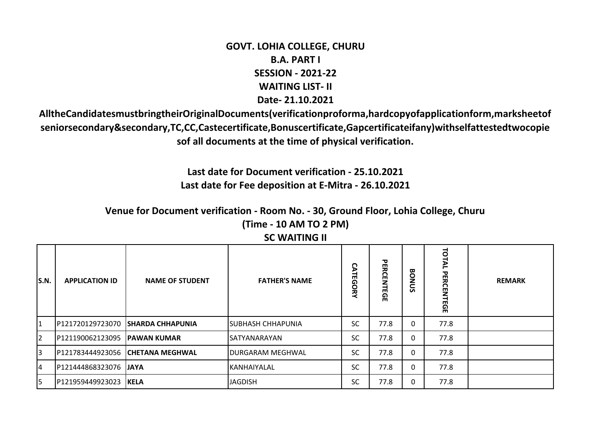## **GOVT. LOHIA COLLEGE, CHURU B.A. PART I SESSION - 2021-22 WAITING LIST- II Date- 21.10.2021**

**AlltheCandidatesmustbringtheirOriginalDocuments(verificationproforma,hardcopyofapplicationform,marksheetof seniorsecondary&secondary,TC,CC,Castecertificate,Bonuscertificate,Gapcertificateifany)withselfattestedtwocopie sof all documents at the time of physical verification.**

> **Last date for Document verification - 25.10.2021 Last date for Fee deposition at E-Mitra - 26.10.2021**

**Venue for Document verification - Room No. - 30, Ground Floor, Lohia College, Churu (Time - 10 AM TO 2 PM)**

| S.N.           | <b>APPLICATION ID</b> | <b>NAME OF STUDENT</b>   | <b>FATHER'S NAME</b>    | <b><i>CATEGORY</i></b> | <b>PERCENTEGE</b> | <b>BONUS</b> | TOTAL<br><b>PERCEN</b><br><b>ITEGE</b> | <b>REMARK</b> |
|----------------|-----------------------|--------------------------|-------------------------|------------------------|-------------------|--------------|----------------------------------------|---------------|
| $\vert$ 1      | P121720129723070      | <b>ISHARDA CHHAPUNIA</b> | ISUBHASH CHHAPUNIA      | <b>SC</b>              | 77.8              | 0            | 77.8                                   |               |
| $\overline{2}$ | P121190062123095      | <b>IPAWAN KUMAR</b>      | SATYANARAYAN            | <b>SC</b>              | 77.8              | 0            | 77.8                                   |               |
| 3              | P121783444923056      | <b>CHETANA MEGHWAL</b>   | <b>DURGARAM MEGHWAL</b> | <b>SC</b>              | 77.8              | 0            | 77.8                                   |               |
| $\overline{4}$ | P121444868323076      | <b>JAYA</b>              | IKANHAIYALAL            | <b>SC</b>              | 77.8              | 0            | 77.8                                   |               |
| 5              | P121959449923023      | <b>IKELA</b>             | <b>JAGDISH</b>          | <b>SC</b>              | 77.8              | 0            | 77.8                                   |               |

## **SC WAITING II**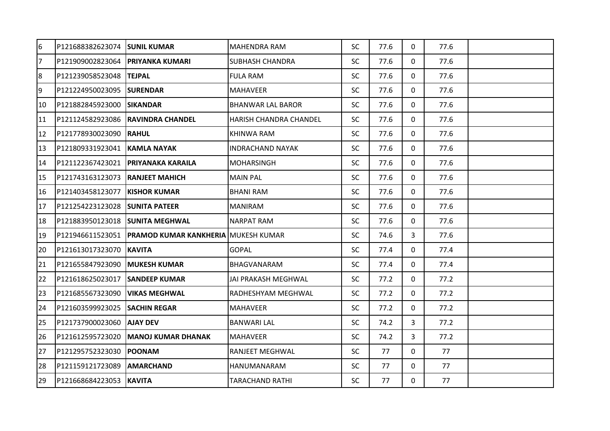| 6              | P121688382623074 SUNIL KUMAR       |                                            | <b>MAHENDRA RAM</b>      | <b>SC</b> | 77.6 | $\Omega$     | 77.6 |  |
|----------------|------------------------------------|--------------------------------------------|--------------------------|-----------|------|--------------|------|--|
| $\overline{7}$ | P121909002823064   PRIYANKA KUMARI |                                            | <b>SUBHASH CHANDRA</b>   | <b>SC</b> | 77.6 | 0            | 77.6 |  |
| 8              | P121239058523048  TEJPAL           |                                            | <b>FULA RAM</b>          | <b>SC</b> | 77.6 | $\Omega$     | 77.6 |  |
| 9              | P121224950023095 SURENDAR          |                                            | <b>MAHAVEER</b>          | <b>SC</b> | 77.6 | 0            | 77.6 |  |
| 10             | P121882845923000                   | <b>ISIKANDAR</b>                           | <b>BHANWAR LAL BAROR</b> | <b>SC</b> | 77.6 | 0            | 77.6 |  |
| 11             | P121124582923086                   | <b>RAVINDRA CHANDEL</b>                    | HARISH CHANDRA CHANDEL   | <b>SC</b> | 77.6 | $\mathbf{0}$ | 77.6 |  |
| 12             | P121778930023090                   | <b>RAHUL</b>                               | <b>KHINWA RAM</b>        | <b>SC</b> | 77.6 | 0            | 77.6 |  |
| 13             | P121809331923041                   | <b>KAMLA NAYAK</b>                         | <b>INDRACHAND NAYAK</b>  | <b>SC</b> | 77.6 | 0            | 77.6 |  |
| 14             | P121122367423021                   | <b>PRIYANAKA KARAILA</b>                   | <b>MOHARSINGH</b>        | <b>SC</b> | 77.6 | 0            | 77.6 |  |
| 15             | P121743163123073                   | <b>RANJEET MAHICH</b>                      | <b>MAIN PAL</b>          | <b>SC</b> | 77.6 | $\Omega$     | 77.6 |  |
| 16             | P121403458123077                   | <b>KISHOR KUMAR</b>                        | <b>BHANI RAM</b>         | <b>SC</b> | 77.6 | 0            | 77.6 |  |
| 17             | P121254223123028 SUNITA PATEER     |                                            | <b>MANIRAM</b>           | <b>SC</b> | 77.6 | 0            | 77.6 |  |
| 18             | P121883950123018 SUNITA MEGHWAL    |                                            | <b>NARPAT RAM</b>        | <b>SC</b> | 77.6 | 0            | 77.6 |  |
| 19             | P121946611523051                   | <b>PRAMOD KUMAR KANKHERIA MUKESH KUMAR</b> |                          | <b>SC</b> | 74.6 | 3            | 77.6 |  |
| 20             | P121613017323070                   | <b>KAVITA</b>                              | <b>GOPAL</b>             | <b>SC</b> | 77.4 | $\mathbf{0}$ | 77.4 |  |
| 21             | P121655847923090                   | <b> MUKESH KUMAR</b>                       | <b>BHAGVANARAM</b>       | <b>SC</b> | 77.4 | 0            | 77.4 |  |
| 22             | P121618625023017                   | <b>SANDEEP KUMAR</b>                       | JAI PRAKASH MEGHWAL      | <b>SC</b> | 77.2 | 0            | 77.2 |  |
| 23             | P121685567323090                   | <b>VIKAS MEGHWAL</b>                       | RADHESHYAM MEGHWAL       | <b>SC</b> | 77.2 | $\mathbf 0$  | 77.2 |  |
| 24             | P121603599923025                   | <b>SACHIN REGAR</b>                        | MAHAVEER                 | <b>SC</b> | 77.2 | $\mathbf 0$  | 77.2 |  |
| 25             | P121737900023060 AJAY DEV          |                                            | <b>BANWARI LAL</b>       | <b>SC</b> | 74.2 | 3            | 77.2 |  |
| 26             | P121612595723020                   | <b>MANOJ KUMAR DHANAK</b>                  | <b>MAHAVEER</b>          | <b>SC</b> | 74.2 | 3            | 77.2 |  |
| 27             | P121295752323030                   | <b>POONAM</b>                              | RANJEET MEGHWAL          | <b>SC</b> | 77   | 0            | 77   |  |
| 28             | P121159121723089                   | <b>AMARCHAND</b>                           | <b>HANUMANARAM</b>       | <b>SC</b> | 77   | $\mathbf{0}$ | 77   |  |
| 29             | P121668684223053 KAVITA            |                                            | <b>TARACHAND RATHI</b>   | <b>SC</b> | 77   | 0            | 77   |  |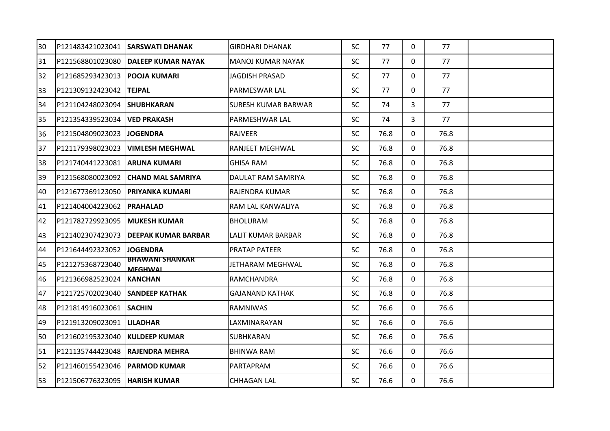| 30 |                                  | P121483421023041 SARSWATI DHANAK         | <b>GIRDHARI DHANAK</b>     | <b>SC</b> | 77   | $\mathbf{0}$ | 77   |  |
|----|----------------------------------|------------------------------------------|----------------------------|-----------|------|--------------|------|--|
| 31 |                                  | P121568801023080 DALEEP KUMAR NAYAK      | MANOJ KUMAR NAYAK          | <b>SC</b> | 77   | $\mathbf{0}$ | 77   |  |
| 32 | P121685293423013   POOJA KUMARI  |                                          | <b>JAGDISH PRASAD</b>      | <b>SC</b> | 77   | $\mathbf{0}$ | 77   |  |
| 33 | P121309132423042                 | <b>TEJPAL</b>                            | PARMESWAR LAL              | <b>SC</b> | 77   | $\mathbf{0}$ | 77   |  |
| 34 | P121104248023094                 | <b>SHUBHKARAN</b>                        | <b>SURESH KUMAR BARWAR</b> | <b>SC</b> | 74   | 3            | 77   |  |
| 35 | P121354339523034                 | <b>VED PRAKASH</b>                       | PARMESHWAR LAL             | <b>SC</b> | 74   | 3            | 77   |  |
| 36 | P121504809023023                 | <b>JOGENDRA</b>                          | <b>IRAJVEER</b>            | <b>SC</b> | 76.8 | $\mathbf{0}$ | 76.8 |  |
| 37 | P121179398023023                 | <b>VIMLESH MEGHWAL</b>                   | <b>RANJEET MEGHWAL</b>     | <b>SC</b> | 76.8 | $\mathbf{0}$ | 76.8 |  |
| 38 | P121740441223081 ARUNA KUMARI    |                                          | <b>GHISA RAM</b>           | <b>SC</b> | 76.8 | $\mathbf 0$  | 76.8 |  |
| 39 |                                  | P121568080023092 CHAND MAL SAMRIYA       | DAULAT RAM SAMRIYA         | <b>SC</b> | 76.8 | $\mathbf{0}$ | 76.8 |  |
| 40 | P121677369123050 PRIYANKA KUMARI |                                          | <b>RAJENDRA KUMAR</b>      | <b>SC</b> | 76.8 | 0            | 76.8 |  |
| 41 | P121404004223062  PRAHALAD       |                                          | RAM LAL KANWALIYA          | <b>SC</b> | 76.8 | $\Omega$     | 76.8 |  |
| 42 | P121782729923095                 | <b>IMUKESH KUMAR</b>                     | <b>BHOLURAM</b>            | <b>SC</b> | 76.8 | $\Omega$     | 76.8 |  |
| 43 | P121402307423073                 | IDEEPAK KUMAR BARBAR                     | LALIT KUMAR BARBAR         | <b>SC</b> | 76.8 | 0            | 76.8 |  |
| 44 | P121644492323052                 | <b>JOGENDRA</b>                          | <b>PRATAP PATEER</b>       | <b>SC</b> | 76.8 | 0            | 76.8 |  |
| 45 | P121275368723040                 | <b>BHAWANI SHANKAR</b><br><b>MEGHWAL</b> | JETHARAM MEGHWAL           | <b>SC</b> | 76.8 | 0            | 76.8 |  |
| 46 | P121366982523024                 | <b>KANCHAN</b>                           | <b>RAMCHANDRA</b>          | <b>SC</b> | 76.8 | 0            | 76.8 |  |
| 47 | P121725702023040                 | <b>SANDEEP KATHAK</b>                    | <b>GAJANAND KATHAK</b>     | <b>SC</b> | 76.8 | $\mathbf{0}$ | 76.8 |  |
| 48 | P121814916023061                 | <b>SACHIN</b>                            | <b>RAMNIWAS</b>            | <b>SC</b> | 76.6 | $\Omega$     | 76.6 |  |
| 49 | P121913209023091                 | <b>LILADHAR</b>                          | LAXMINARAYAN               | <b>SC</b> | 76.6 | 0            | 76.6 |  |
| 50 | P121602195323040                 | <b>KULDEEP KUMAR</b>                     | <b>SUBHKARAN</b>           | <b>SC</b> | 76.6 | $\Omega$     | 76.6 |  |
| 51 | P121135744423048                 | <b>RAJENDRA MEHRA</b>                    | <b>BHINWA RAM</b>          | <b>SC</b> | 76.6 | $\Omega$     | 76.6 |  |
| 52 | P121460155423046   PARMOD KUMAR  |                                          | PARTAPRAM                  | <b>SC</b> | 76.6 | 0            | 76.6 |  |
| 53 | P121506776323095  HARISH KUMAR   |                                          | <b>CHHAGAN LAL</b>         | <b>SC</b> | 76.6 | $\mathbf{0}$ | 76.6 |  |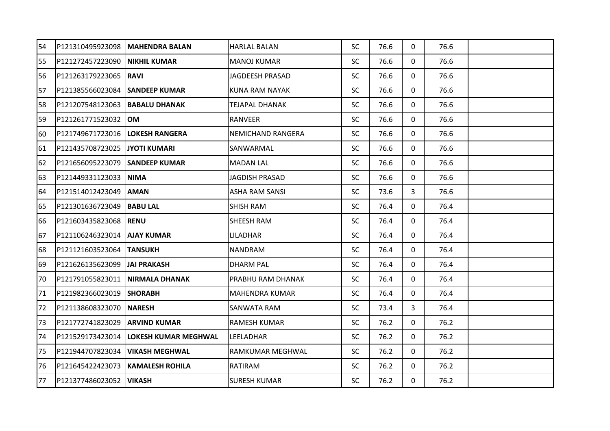| 54 | P121310495923098 | <b>MAHENDRA BALAN</b>  | <b>HARLAL BALAN</b>      | <b>SC</b> | 76.6 | $\mathbf{0}$ | 76.6 |  |
|----|------------------|------------------------|--------------------------|-----------|------|--------------|------|--|
| 55 | P121272457223090 | <b>NIKHIL KUMAR</b>    | <b>MANOJ KUMAR</b>       | <b>SC</b> | 76.6 | $\mathbf{0}$ | 76.6 |  |
| 56 | P121263179223065 | IRAVI                  | JAGDEESH PRASAD          | <b>SC</b> | 76.6 | $\mathbf{0}$ | 76.6 |  |
| 57 | P121385566023084 | <b>SANDEEP KUMAR</b>   | <b>KUNA RAM NAYAK</b>    | <b>SC</b> | 76.6 | 0            | 76.6 |  |
| 58 | P121207548123063 | <b>BABALU DHANAK</b>   | TEJAPAL DHANAK           | <b>SC</b> | 76.6 | 0            | 76.6 |  |
| 59 | P121261771523032 | IOM.                   | <b>RANVEER</b>           | <b>SC</b> | 76.6 | 0            | 76.6 |  |
| 60 | P121749671723016 | <b>LOKESH RANGERA</b>  | <b>NEMICHAND RANGERA</b> | <b>SC</b> | 76.6 | 0            | 76.6 |  |
| 61 | P121435708723025 | <b>JYOTI KUMARI</b>    | SANWARMAL                | <b>SC</b> | 76.6 | $\mathbf{0}$ | 76.6 |  |
| 62 | P121656095223079 | <b>SANDEEP KUMAR</b>   | <b>MADAN LAL</b>         | <b>SC</b> | 76.6 | $\mathbf{0}$ | 76.6 |  |
| 63 | P121449331123033 | <b>NIMA</b>            | <b>JAGDISH PRASAD</b>    | <b>SC</b> | 76.6 | $\mathbf 0$  | 76.6 |  |
| 64 | P121514012423049 | <b>AMAN</b>            | <b>ASHA RAM SANSI</b>    | <b>SC</b> | 73.6 | 3            | 76.6 |  |
| 65 | P121301636723049 | <b>BABU LAL</b>        | <b>SHISH RAM</b>         | <b>SC</b> | 76.4 | $\mathbf{0}$ | 76.4 |  |
| 66 | P121603435823068 | <b>RENU</b>            | SHEESH RAM               | <b>SC</b> | 76.4 | 0            | 76.4 |  |
| 67 | P121106246323014 | <b>AJAY KUMAR</b>      | LILADHAR                 | <b>SC</b> | 76.4 | $\mathbf{0}$ | 76.4 |  |
| 68 | P121121603523064 | <b>TANSUKH</b>         | <b>NANDRAM</b>           | <b>SC</b> | 76.4 | 0            | 76.4 |  |
| 69 | P121626135623099 | IJAI PRAKASH           | <b>DHARM PAL</b>         | <b>SC</b> | 76.4 | 0            | 76.4 |  |
| 70 | P121791055823011 | <b>NIRMALA DHANAK</b>  | PRABHU RAM DHANAK        | <b>SC</b> | 76.4 | 0            | 76.4 |  |
| 71 | P121982366023019 | <b>SHORABH</b>         | <b>MAHENDRA KUMAR</b>    | <b>SC</b> | 76.4 | $\mathbf{0}$ | 76.4 |  |
| 72 | P121138608323070 | <b>NARESH</b>          | <b>SANWATA RAM</b>       | <b>SC</b> | 73.4 | 3            | 76.4 |  |
| 73 | P121772741823029 | <b>ARVIND KUMAR</b>    | <b>RAMESH KUMAR</b>      | <b>SC</b> | 76.2 | 0            | 76.2 |  |
| 74 | P121529173423014 | LOKESH KUMAR MEGHWAL   | LEELADHAR                | <b>SC</b> | 76.2 | $\mathbf{0}$ | 76.2 |  |
| 75 | P121944707823034 | <b>VIKASH MEGHWAL</b>  | RAMKUMAR MEGHWAL         | <b>SC</b> | 76.2 | 0            | 76.2 |  |
| 76 | P121645422423073 | <b>KAMALESH ROHILA</b> | RATIRAM                  | <b>SC</b> | 76.2 | 0            | 76.2 |  |
| 77 | P121377486023052 | <b>VIKASH</b>          | <b>SURESH KUMAR</b>      | <b>SC</b> | 76.2 | $\mathbf{0}$ | 76.2 |  |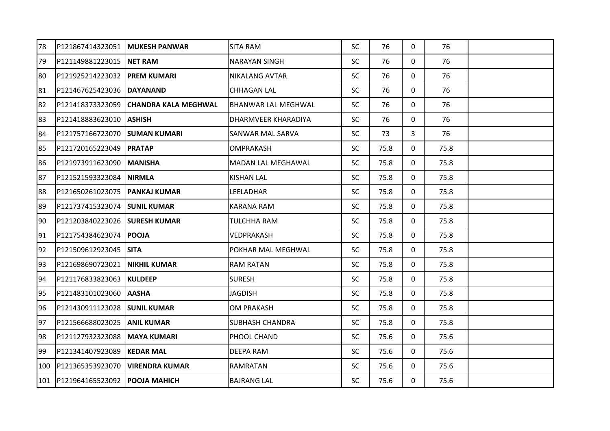| 78  | P121867414323051   MUKESH PANWAR      |                             | <b>SITA RAM</b>            | <b>SC</b> | 76   | $\mathbf{0}$ | 76   |  |
|-----|---------------------------------------|-----------------------------|----------------------------|-----------|------|--------------|------|--|
| 79  | P121149881223015 NET RAM              |                             | <b>NARAYAN SINGH</b>       | <b>SC</b> | 76   | $\mathbf{0}$ | 76   |  |
| 80  | P121925214223032                      | <b>PREM KUMARI</b>          | <b>NIKALANG AVTAR</b>      | <b>SC</b> | 76   | $\Omega$     | 76   |  |
| 81  | P121467625423036                      | <b>DAYANAND</b>             | <b>CHHAGAN LAL</b>         | <b>SC</b> | 76   | $\mathbf{0}$ | 76   |  |
| 82  | P121418373323059                      | <b>CHANDRA KALA MEGHWAL</b> | <b>BHANWAR LAL MEGHWAL</b> | <b>SC</b> | 76   | $\mathbf{0}$ | 76   |  |
| 83  | P121418883623010                      | <b>ASHISH</b>               | DHARMVEER KHARADIYA        | <b>SC</b> | 76   | 0            | 76   |  |
| 84  | P121757166723070                      | <b>SUMAN KUMARI</b>         | <b>SANWAR MAL SARVA</b>    | <b>SC</b> | 73   | 3            | 76   |  |
| 85  | P121720165223049                      | <b>PRATAP</b>               | <b>OMPRAKASH</b>           | <b>SC</b> | 75.8 | 0            | 75.8 |  |
| 86  | P121973911623090                      | <b>MANISHA</b>              | <b>MADAN LAL MEGHAWAL</b>  | <b>SC</b> | 75.8 | $\mathbf{0}$ | 75.8 |  |
| 87  | P121521593323084                      | <b>NIRMLA</b>               | <b>KISHAN LAL</b>          | <b>SC</b> | 75.8 | $\mathbf 0$  | 75.8 |  |
| 88  | P121650261023075                      | <b>PANKAJ KUMAR</b>         | LEELADHAR                  | <b>SC</b> | 75.8 | $\mathbf 0$  | 75.8 |  |
| 89  | P121737415323074                      | <b>ISUNIL KUMAR</b>         | <b>KARANA RAM</b>          | <b>SC</b> | 75.8 | $\mathbf{0}$ | 75.8 |  |
| 90  | P121203840223026                      | <b>SURESH KUMAR</b>         | TULCHHA RAM                | <b>SC</b> | 75.8 | 0            | 75.8 |  |
| 91  | P121754384623074                      | <b>POOJA</b>                | VEDPRAKASH                 | <b>SC</b> | 75.8 | 0            | 75.8 |  |
| 92  | P121509612923045                      | ISITA                       | POKHAR MAL MEGHWAL         | <b>SC</b> | 75.8 | 0            | 75.8 |  |
| 93  | P121698690723021                      | <b>NIKHIL KUMAR</b>         | <b>RAM RATAN</b>           | <b>SC</b> | 75.8 | $\mathbf{0}$ | 75.8 |  |
| 94  | P121176833823063                      | <b>KULDEEP</b>              | <b>SURESH</b>              | <b>SC</b> | 75.8 | $\mathbf{0}$ | 75.8 |  |
| 95  | P121483101023060                      | <b>AASHA</b>                | <b>JAGDISH</b>             | <b>SC</b> | 75.8 | $\mathbf 0$  | 75.8 |  |
| 96  | P121430911123028                      | <b>SUNIL KUMAR</b>          | <b>OM PRAKASH</b>          | <b>SC</b> | 75.8 | $\mathbf{0}$ | 75.8 |  |
| 97  | P121566688023025                      | <b>ANIL KUMAR</b>           | <b>SUBHASH CHANDRA</b>     | <b>SC</b> | 75.8 | 0            | 75.8 |  |
| 98  | P121127932323088                      | <b>MAYA KUMARI</b>          | PHOOL CHAND                | <b>SC</b> | 75.6 | $\mathbf{0}$ | 75.6 |  |
| 99  | P121341407923089                      | <b>KEDAR MAL</b>            | DEEPA RAM                  | <b>SC</b> | 75.6 | $\mathbf{0}$ | 75.6 |  |
| 100 | P121365353923070                      | <b>VIRENDRA KUMAR</b>       | <b>RAMRATAN</b>            | <b>SC</b> | 75.6 | 0            | 75.6 |  |
|     | 101   P121964165523092   POOJA MAHICH |                             | <b>BAJRANG LAL</b>         | <b>SC</b> | 75.6 | $\mathbf{0}$ | 75.6 |  |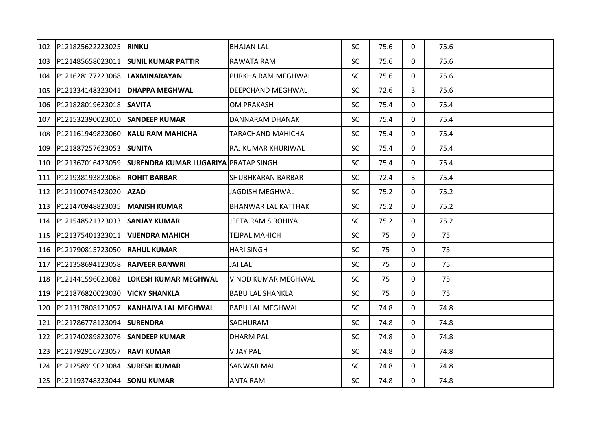| 102 | P121825622223025 | <b>RINKU</b>                                | <b>BHAJAN LAL</b>          | <b>SC</b> | 75.6 | $\mathbf{0}$ | 75.6 |  |
|-----|------------------|---------------------------------------------|----------------------------|-----------|------|--------------|------|--|
| 103 | P121485658023011 | <b>SUNIL KUMAR PATTIR</b>                   | RAWATA RAM                 | <b>SC</b> | 75.6 | 0            | 75.6 |  |
| 104 | P121628177223068 | ILAXMINARAYAN                               | PURKHA RAM MEGHWAL         | <b>SC</b> | 75.6 | $\mathbf{0}$ | 75.6 |  |
| 105 | P121334148323041 | <b>DHAPPA MEGHWAL</b>                       | DEEPCHAND MEGHWAL          | <b>SC</b> | 72.6 | 3            | 75.6 |  |
| 106 | P121828019623018 | <b>ISAVITA</b>                              | <b>OM PRAKASH</b>          | <b>SC</b> | 75.4 | 0            | 75.4 |  |
| 107 | P121532390023010 | <b>SANDEEP KUMAR</b>                        | DANNARAM DHANAK            | <b>SC</b> | 75.4 | 0            | 75.4 |  |
| 108 | P121161949823060 | <b>IKALU RAM MAHICHA</b>                    | TARACHAND MAHICHA          | <b>SC</b> | 75.4 | 0            | 75.4 |  |
| 109 | P121887257623053 | <b>SUNITA</b>                               | RAJ KUMAR KHURIWAL         | <b>SC</b> | 75.4 | $\mathbf{0}$ | 75.4 |  |
| 110 | P121367016423059 | <b>SURENDRA KUMAR LUGARIYA PRATAP SINGH</b> |                            | <b>SC</b> | 75.4 | $\mathbf{0}$ | 75.4 |  |
| 111 | P121938193823068 | <b>ROHIT BARBAR</b>                         | <b>SHUBHKARAN BARBAR</b>   | <b>SC</b> | 72.4 | 3            | 75.4 |  |
| 112 | P121100745423020 | <b>AZAD</b>                                 | <b>JAGDISH MEGHWAL</b>     | <b>SC</b> | 75.2 | $\mathbf{0}$ | 75.2 |  |
| 113 | P121470948823035 | <b>MANISH KUMAR</b>                         | <b>BHANWAR LAL KATTHAK</b> | <b>SC</b> | 75.2 | $\mathbf{0}$ | 75.2 |  |
| 114 | P121548521323033 | <b>SANJAY KUMAR</b>                         | JEETA RAM SIROHIYA         | <b>SC</b> | 75.2 | 0            | 75.2 |  |
| 115 | P121375401323011 | <b>VIJENDRA MAHICH</b>                      | TEJPAL MAHICH              | <b>SC</b> | 75   | 0            | 75   |  |
| 116 | P121790815723050 | RAHUL KUMAR                                 | <b>HARI SINGH</b>          | <b>SC</b> | 75   | 0            | 75   |  |
| 117 | P121358694123058 | IRAJVEER BANWRI                             | <b>JAI LAL</b>             | <b>SC</b> | 75   | 0            | 75   |  |
| 118 | P121441596023082 | LOKESH KUMAR MEGHWAL                        | <b>VINOD KUMAR MEGHWAL</b> | <b>SC</b> | 75   | 0            | 75   |  |
| 119 | P121876820023030 | <b>VICKY SHANKLA</b>                        | <b>BABU LAL SHANKLA</b>    | <b>SC</b> | 75   | $\mathbf{0}$ | 75   |  |
| 120 | P121317808123057 | <b>KANHAIYA LAL MEGHWAL</b>                 | <b>BABU LAL MEGHWAL</b>    | <b>SC</b> | 74.8 | 0            | 74.8 |  |
| 121 | P121786778123094 | <b>SURENDRA</b>                             | SADHURAM                   | <b>SC</b> | 74.8 | 0            | 74.8 |  |
| 122 | P121740289823076 | <b>SANDEEP KUMAR</b>                        | <b>DHARM PAL</b>           | <b>SC</b> | 74.8 | $\mathbf{0}$ | 74.8 |  |
| 123 | P121792916723057 | <b>RAVI KUMAR</b>                           | <b>VIJAY PAL</b>           | <b>SC</b> | 74.8 | 0            | 74.8 |  |
| 124 | P121258919023084 | <b>SURESH KUMAR</b>                         | SANWAR MAL                 | <b>SC</b> | 74.8 | 0            | 74.8 |  |
| 125 | P121193748323044 | <b>SONU KUMAR</b>                           | <b>ANTA RAM</b>            | <b>SC</b> | 74.8 | $\mathbf{0}$ | 74.8 |  |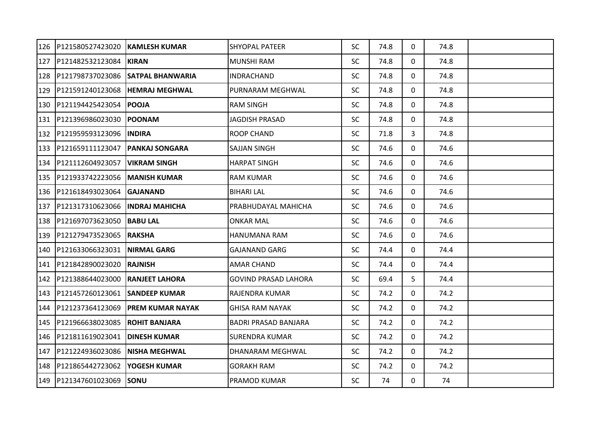| 126 | P121580527423020 | <b>KAMLESH KUMAR</b>    | <b>SHYOPAL PATEER</b>       | <b>SC</b> | 74.8 | $\mathbf{0}$ | 74.8 |  |
|-----|------------------|-------------------------|-----------------------------|-----------|------|--------------|------|--|
| 127 | P121482532123084 | <b>KIRAN</b>            | <b>MUNSHI RAM</b>           | <b>SC</b> | 74.8 | 0            | 74.8 |  |
| 128 | P121798737023086 | <b>SATPAL BHANWARIA</b> | INDRACHAND                  | <b>SC</b> | 74.8 | 0            | 74.8 |  |
| 129 | P121591240123068 | <b>HEMRAJ MEGHWAL</b>   | PURNARAM MEGHWAL            | <b>SC</b> | 74.8 | $\mathbf{0}$ | 74.8 |  |
| 130 | P121194425423054 | <b>IPOOJA</b>           | <b>RAM SINGH</b>            | <b>SC</b> | 74.8 | 0            | 74.8 |  |
| 131 | P121396986023030 | <b>POONAM</b>           | JAGDISH PRASAD              | <b>SC</b> | 74.8 | 0            | 74.8 |  |
| 132 | P121959593123096 | <b>INDIRA</b>           | <b>ROOP CHAND</b>           | <b>SC</b> | 71.8 | 3            | 74.8 |  |
| 133 | P121659111123047 | <b>PANKAJ SONGARA</b>   | <b>SAJJAN SINGH</b>         | <b>SC</b> | 74.6 | 0            | 74.6 |  |
| 134 | P121112604923057 | <b>VIKRAM SINGH</b>     | <b>HARPAT SINGH</b>         | <b>SC</b> | 74.6 | 0            | 74.6 |  |
| 135 | P121933742223056 | <b>MANISH KUMAR</b>     | <b>RAM KUMAR</b>            | <b>SC</b> | 74.6 | $\mathbf{0}$ | 74.6 |  |
| 136 | P121618493023064 | IGAJANAND               | <b>BIHARI LAL</b>           | <b>SC</b> | 74.6 | 0            | 74.6 |  |
| 137 | P121317310623066 | <b>IINDRAJ MAHICHA</b>  | PRABHUDAYAL MAHICHA         | <b>SC</b> | 74.6 | 0            | 74.6 |  |
| 138 | P121697073623050 | <b>BABU LAL</b>         | <b>ONKAR MAL</b>            | <b>SC</b> | 74.6 | 0            | 74.6 |  |
| 139 | P121279473523065 | IRAKSHA                 | HANUMANA RAM                | <b>SC</b> | 74.6 | 0            | 74.6 |  |
| 140 | P121633066323031 | <b>NIRMAL GARG</b>      | <b>GAJANAND GARG</b>        | <b>SC</b> | 74.4 | 0            | 74.4 |  |
| 141 | P121842890023020 | <b>RAJNISH</b>          | <b>AMAR CHAND</b>           | <b>SC</b> | 74.4 | $\mathbf{0}$ | 74.4 |  |
| 142 | P121388644023000 | <b>RANJEET LAHORA</b>   | <b>GOVIND PRASAD LAHORA</b> | <b>SC</b> | 69.4 | 5            | 74.4 |  |
| 143 | P121457260123061 | <b>SANDEEP KUMAR</b>    | RAJENDRA KUMAR              | <b>SC</b> | 74.2 | $\mathbf{0}$ | 74.2 |  |
| 144 | P121237364123069 | <b>PREM KUMAR NAYAK</b> | <b>GHISA RAM NAYAK</b>      | <b>SC</b> | 74.2 | $\mathbf{0}$ | 74.2 |  |
| 145 | P121966638023085 | <b>ROHIT BANJARA</b>    | <b>BADRI PRASAD BANJARA</b> | <b>SC</b> | 74.2 | 0            | 74.2 |  |
| 146 | P121811619023041 | <b>DINESH KUMAR</b>     | <b>SURENDRA KUMAR</b>       | <b>SC</b> | 74.2 | $\mathbf{0}$ | 74.2 |  |
| 147 | P121224936023086 | INISHA MEGHWAL          | DHANARAM MEGHWAL            | <b>SC</b> | 74.2 | 0            | 74.2 |  |
| 148 | P121865442723062 | <b>YOGESH KUMAR</b>     | <b>GORAKH RAM</b>           | <b>SC</b> | 74.2 | 0            | 74.2 |  |
| 149 | P121347601023069 | <b>ISONU</b>            | <b>PRAMOD KUMAR</b>         | <b>SC</b> | 74   | $\mathbf{0}$ | 74   |  |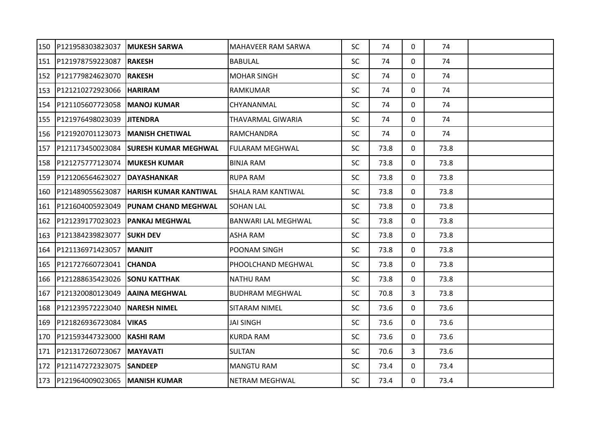| 150 | P121958303823037     | <b>MUKESH SARWA</b>         | MAHAVEER RAM SARWA        | <b>SC</b> | 74   | $\mathbf{0}$ | 74   |  |
|-----|----------------------|-----------------------------|---------------------------|-----------|------|--------------|------|--|
| 151 | P121978759223087     | <b>RAKESH</b>               | <b>BABULAL</b>            | <b>SC</b> | 74   | 0            | 74   |  |
| 152 | P121779824623070     | <b>RAKESH</b>               | <b>MOHAR SINGH</b>        | <b>SC</b> | 74   | $\mathbf{0}$ | 74   |  |
| 153 | P121210272923066     | <b>HARIRAM</b>              | RAMKUMAR                  | <b>SC</b> | 74   | $\mathbf{0}$ | 74   |  |
| 154 | P121105607723058     | <b>MANOJ KUMAR</b>          | CHYANANMAL                | <b>SC</b> | 74   | 0            | 74   |  |
| 155 | P121976498023039     | <b>JITENDRA</b>             | THAVARMAL GIWARIA         | <b>SC</b> | 74   | 0            | 74   |  |
| 156 | P121920701123073     | IMANISH CHETIWAL            | RAMCHANDRA                | <b>SC</b> | 74   | $\mathbf{0}$ | 74   |  |
| 157 | P121173450023084     | <b>SURESH KUMAR MEGHWAL</b> | <b>FULARAM MEGHWAL</b>    | <b>SC</b> | 73.8 | 0            | 73.8 |  |
| 158 | P121275777123074     | <b>MUKESH KUMAR</b>         | <b>BINJA RAM</b>          | <b>SC</b> | 73.8 | 0            | 73.8 |  |
| 159 | P121206564623027     | <b>DAYASHANKAR</b>          | <b>RUPA RAM</b>           | <b>SC</b> | 73.8 | $\mathbf{0}$ | 73.8 |  |
| 160 | P121489055623087     | IHARISH KUMAR KANTIWAL      | <b>SHALA RAM KANTIWAL</b> | <b>SC</b> | 73.8 | 0            | 73.8 |  |
| 161 | P121604005923049     | <b>PUNAM CHAND MEGHWAL</b>  | <b>SOHAN LAL</b>          | <b>SC</b> | 73.8 | 0            | 73.8 |  |
| 162 | P121239177023023     | <b>PANKAJ MEGHWAL</b>       | BANWARI LAL MEGHWAL       | <b>SC</b> | 73.8 | 0            | 73.8 |  |
| 163 | P121384239823077     | <b>SUKH DEV</b>             | <b>ASHA RAM</b>           | <b>SC</b> | 73.8 | 0            | 73.8 |  |
| 164 | P121136971423057     | <b>MANJIT</b>               | POONAM SINGH              | <b>SC</b> | 73.8 | 0            | 73.8 |  |
| 165 | P121727660723041     | <b>CHANDA</b>               | PHOOLCHAND MEGHWAL        | <b>SC</b> | 73.8 | $\mathbf{0}$ | 73.8 |  |
| 166 | P121288635423026     | <b>SONU KATTHAK</b>         | <b>NATHU RAM</b>          | <b>SC</b> | 73.8 | $\mathbf{0}$ | 73.8 |  |
| 167 | P121320080123049     | <b>AAINA MEGHWAL</b>        | <b>BUDHRAM MEGHWAL</b>    | <b>SC</b> | 70.8 | 3            | 73.8 |  |
| 168 | P121239572223040     | <b>NARESH NIMEL</b>         | <b>SITARAM NIMEL</b>      | <b>SC</b> | 73.6 | $\mathbf{0}$ | 73.6 |  |
| 169 | P121826936723084     | <b>VIKAS</b>                | <b>JAI SINGH</b>          | <b>SC</b> | 73.6 | 0            | 73.6 |  |
| 170 | P121593447323000     | <b>KASHI RAM</b>            | <b>KURDA RAM</b>          | <b>SC</b> | 73.6 | $\mathbf{0}$ | 73.6 |  |
| 171 | P121317260723067     | <b>MAYAVATI</b>             | <b>SULTAN</b>             | <b>SC</b> | 70.6 | 3            | 73.6 |  |
| 172 | P121147272323075     | <b>SANDEEP</b>              | <b>MANGTU RAM</b>         | <b>SC</b> | 73.4 | 0            | 73.4 |  |
|     | 173 P121964009023065 | <b>MANISH KUMAR</b>         | <b>NETRAM MEGHWAL</b>     | <b>SC</b> | 73.4 | $\mathbf{0}$ | 73.4 |  |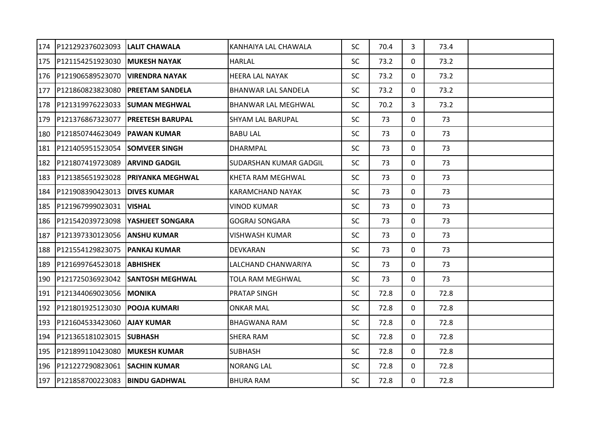| 174 | P121292376023093     | <b>LALIT CHAWALA</b>    | KANHAIYA LAL CHAWALA          | <b>SC</b> | 70.4 | $\mathbf{3}$ | 73.4 |  |
|-----|----------------------|-------------------------|-------------------------------|-----------|------|--------------|------|--|
| 175 | P121154251923030     | <b>MUKESH NAYAK</b>     | <b>HARLAL</b>                 | <b>SC</b> | 73.2 | 0            | 73.2 |  |
| 176 | P121906589523070     | IVIRENDRA NAYAK         | <b>HEERA LAL NAYAK</b>        | <b>SC</b> | 73.2 | $\mathbf{0}$ | 73.2 |  |
| 177 | P121860823823080     | <b>PREETAM SANDELA</b>  | BHANWAR LAL SANDELA           | <b>SC</b> | 73.2 | 0            | 73.2 |  |
| 178 | P121319976223033     | <b>SUMAN MEGHWAL</b>    | <b>BHANWAR LAL MEGHWAL</b>    | <b>SC</b> | 70.2 | 3            | 73.2 |  |
| 179 | P121376867323077     | <b>PREETESH BARUPAL</b> | <b>SHYAM LAL BARUPAL</b>      | <b>SC</b> | 73   | 0            | 73   |  |
| 180 | P121850744623049     | IPAWAN KUMAR            | <b>BABU LAL</b>               | <b>SC</b> | 73   | 0            | 73   |  |
| 181 | P121405951523054     | <b>SOMVEER SINGH</b>    | <b>DHARMPAL</b>               | <b>SC</b> | 73   | $\mathbf{0}$ | 73   |  |
| 182 | P121807419723089     | <b>ARVIND GADGIL</b>    | <b>SUDARSHAN KUMAR GADGIL</b> | <b>SC</b> | 73   | $\mathbf{0}$ | 73   |  |
| 183 | P121385651923028     | <b>PRIYANKA MEGHWAL</b> | KHETA RAM MEGHWAL             | <b>SC</b> | 73   | 0            | 73   |  |
| 184 | P121908390423013     | <b>DIVES KUMAR</b>      | <b>KARAMCHAND NAYAK</b>       | <b>SC</b> | 73   | $\mathbf 0$  | 73   |  |
| 185 | P121967999023031     | <b>IVISHAL</b>          | VINOD KUMAR                   | <b>SC</b> | 73   | $\mathbf{0}$ | 73   |  |
| 186 | P121542039723098     | <b>YASHJEET SONGARA</b> | <b>GOGRAJ SONGARA</b>         | <b>SC</b> | 73   | 0            | 73   |  |
| 187 | P121397330123056     | IANSHU KUMAR            | VISHWASH KUMAR                | <b>SC</b> | 73   | 0            | 73   |  |
| 188 | P121554129823075     | PANKAJ KUMAR            | DEVKARAN                      | <b>SC</b> | 73   | 0            | 73   |  |
| 189 | P121699764523018     | <b>IABHISHEK</b>        | LALCHAND CHANWARIYA           | <b>SC</b> | 73   | 0            | 73   |  |
| 190 | P121725036923042     | <b>SANTOSH MEGHWAL</b>  | TOLA RAM MEGHWAL              | <b>SC</b> | 73   | 0            | 73   |  |
| 191 | P121344069023056     | <b>MONIKA</b>           | <b>PRATAP SINGH</b>           | <b>SC</b> | 72.8 | 0            | 72.8 |  |
| 192 | P121801925123030     | <b>POOJA KUMARI</b>     | <b>ONKAR MAL</b>              | <b>SC</b> | 72.8 | 0            | 72.8 |  |
| 193 | P121604533423060     | <b>AJAY KUMAR</b>       | <b>BHAGWANA RAM</b>           | <b>SC</b> | 72.8 | 0            | 72.8 |  |
| 194 | P121365181023015     | <b>SUBHASH</b>          | <b>SHERA RAM</b>              | <b>SC</b> | 72.8 | $\mathbf{0}$ | 72.8 |  |
| 195 | P121899110423080     | <b>MUKESH KUMAR</b>     | <b>SUBHASH</b>                | <b>SC</b> | 72.8 | 0            | 72.8 |  |
| 196 | P121227290823061     | <b>SACHIN KUMAR</b>     | <b>NORANG LAL</b>             | <b>SC</b> | 72.8 | 0            | 72.8 |  |
|     | 197 P121858700223083 | <b>BINDU GADHWAL</b>    | <b>BHURA RAM</b>              | <b>SC</b> | 72.8 | $\mathbf{0}$ | 72.8 |  |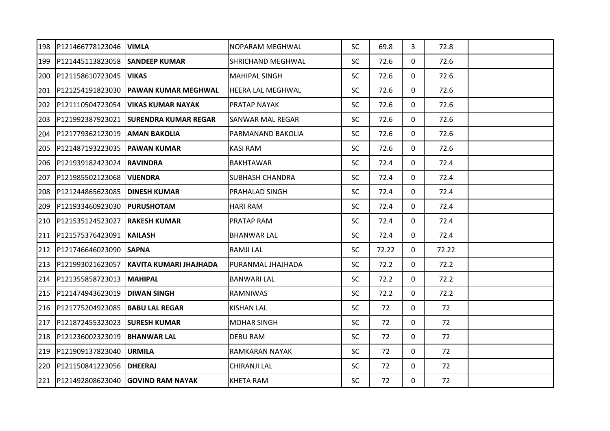| 198 | P121466778123046 | <b>VIMLA</b>                          | <b>NOPARAM MEGHWAL</b>   | <b>SC</b> | 69.8  | $\mathbf{3}$ | 72.8  |  |
|-----|------------------|---------------------------------------|--------------------------|-----------|-------|--------------|-------|--|
| 199 | P121445113823058 | <b>SANDEEP KUMAR</b>                  | <b>SHRICHAND MEGHWAL</b> | <b>SC</b> | 72.6  | 0            | 72.6  |  |
| 200 | P121158610723045 | <b>VIKAS</b>                          | <b>MAHIPAL SINGH</b>     | <b>SC</b> | 72.6  | $\mathbf{0}$ | 72.6  |  |
| 201 | P121254191823030 | IPAWAN KUMAR MEGHWAL                  | <b>HEERA LAL MEGHWAL</b> | <b>SC</b> | 72.6  | $\mathbf{0}$ | 72.6  |  |
| 202 | P121110504723054 | VIKAS KUMAR NAYAK                     | <b>PRATAP NAYAK</b>      | <b>SC</b> | 72.6  | 0            | 72.6  |  |
| 203 | P121992387923021 | <b>SURENDRA KUMAR REGAR</b>           | <b>SANWAR MAL REGAR</b>  | <b>SC</b> | 72.6  | 0            | 72.6  |  |
| 204 | P121779362123019 | <b>AMAN BAKOLIA</b>                   | PARMANAND BAKOLIA        | <b>SC</b> | 72.6  | $\mathbf{0}$ | 72.6  |  |
| 205 | P121487193223035 | <b>PAWAN KUMAR</b>                    | <b>KASI RAM</b>          | <b>SC</b> | 72.6  | $\mathbf{0}$ | 72.6  |  |
| 206 | P121939182423024 | <b>RAVINDRA</b>                       | <b>BAKHTAWAR</b>         | <b>SC</b> | 72.4  | 0            | 72.4  |  |
| 207 | P121985502123068 | <b>VIJENDRA</b>                       | <b>SUBHASH CHANDRA</b>   | <b>SC</b> | 72.4  | $\mathbf{0}$ | 72.4  |  |
| 208 | P121244865623085 | <b>DINESH KUMAR</b>                   | PRAHALAD SINGH           | <b>SC</b> | 72.4  | 0            | 72.4  |  |
| 209 | P121933460923030 | <b>PURUSHOTAM</b>                     | <b>HARI RAM</b>          | <b>SC</b> | 72.4  | $\Omega$     | 72.4  |  |
| 210 | P121535124523027 | <b>RAKESH KUMAR</b>                   | PRATAP RAM               | <b>SC</b> | 72.4  | 0            | 72.4  |  |
| 211 | P121575376423091 | <b>KAILASH</b>                        | <b>BHANWAR LAL</b>       | <b>SC</b> | 72.4  | 0            | 72.4  |  |
| 212 | P121746646023090 | <b>SAPNA</b>                          | <b>RAMJILAL</b>          | <b>SC</b> | 72.22 | 0            | 72.22 |  |
| 213 | P121993021623057 | KAVITA KUMARI JHAJHADA                | PURANMAL JHAJHADA        | <b>SC</b> | 72.2  | $\mathbf{0}$ | 72.2  |  |
| 214 | P121355858723013 | <b>MAHIPAL</b>                        | <b>BANWARI LAL</b>       | <b>SC</b> | 72.2  | $\mathbf{0}$ | 72.2  |  |
| 215 | P121474943623019 | <b>DIWAN SINGH</b>                    | <b>RAMNIWAS</b>          | <b>SC</b> | 72.2  | $\mathbf{0}$ | 72.2  |  |
| 216 | P121775204923085 | <b>BABU LAL REGAR</b>                 | <b>KISHAN LAL</b>        | <b>SC</b> | 72    | $\mathbf{0}$ | 72    |  |
| 217 | P121872455323023 | <b>SURESH KUMAR</b>                   | <b>MOHAR SINGH</b>       | <b>SC</b> | 72    | 0            | 72    |  |
| 218 | P121236002323019 | <b>BHANWAR LAL</b>                    | <b>DEBU RAM</b>          | <b>SC</b> | 72    | $\mathbf{0}$ | 72    |  |
| 219 | P121909137823040 | <b>URMILA</b>                         | RAMKARAN NAYAK           | <b>SC</b> | 72    | 0            | 72    |  |
| 220 | P121150841223056 | <b>DHEERAJ</b>                        | <b>CHIRANJI LAL</b>      | <b>SC</b> | 72    | 0            | 72    |  |
|     |                  | 221 P121492808623040 GOVIND RAM NAYAK | <b>KHETA RAM</b>         | <b>SC</b> | 72    | $\mathbf{0}$ | 72    |  |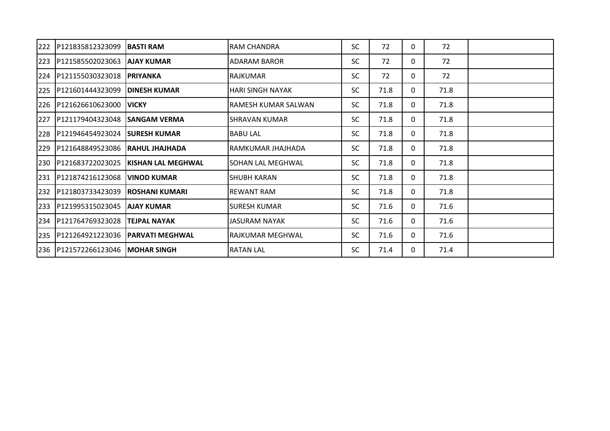| 222 | P121835812323099     | <b>IBASTI RAM</b>      | <b>RAM CHANDRA</b>      | <b>SC</b> | 72   | 0 | 72   |  |
|-----|----------------------|------------------------|-------------------------|-----------|------|---|------|--|
| 223 | P121585502023063     | <b>AJAY KUMAR</b>      | <b>ADARAM BAROR</b>     | <b>SC</b> | 72   | 0 | 72   |  |
| 224 | P121155030323018     | <b>PRIYANKA</b>        | RAJKUMAR                | <b>SC</b> | 72   | 0 | 72   |  |
| 225 | P121601444323099     | <b>IDINESH KUMAR</b>   | <b>HARI SINGH NAYAK</b> | <b>SC</b> | 71.8 | 0 | 71.8 |  |
| 226 | P121626610623000     | <b>IVICKY</b>          | RAMESH KUMAR SALWAN     | <b>SC</b> | 71.8 | 0 | 71.8 |  |
| 227 | P121179404323048     | ISANGAM VERMA          | <b>SHRAVAN KUMAR</b>    | <b>SC</b> | 71.8 | 0 | 71.8 |  |
| 228 | P121946454923024     | <b>SURESH KUMAR</b>    | <b>BABU LAL</b>         | <b>SC</b> | 71.8 | 0 | 71.8 |  |
| 229 | P121648849523086     | IRAHUL JHAJHADA        | IRAMKUMAR JHAJHADA      | <b>SC</b> | 71.8 | 0 | 71.8 |  |
| 230 | P121683722023025     | KISHAN LAL MEGHWAL     | SOHAN LAL MEGHWAL       | <b>SC</b> | 71.8 | 0 | 71.8 |  |
|     | 231 P121874216123068 | <b>IVINOD KUMAR</b>    | <b>SHUBH KARAN</b>      | <b>SC</b> | 71.8 | 0 | 71.8 |  |
|     | 232 P121803733423039 | <b>IROSHANI KUMARI</b> | <b>REWANT RAM</b>       | <b>SC</b> | 71.8 | 0 | 71.8 |  |
|     | 233 P121995315023045 | <b>AJAY KUMAR</b>      | <b>SURESH KUMAR</b>     | <b>SC</b> | 71.6 | 0 | 71.6 |  |
|     | 234 P121764769323028 | <b>TEJPAL NAYAK</b>    | JASURAM NAYAK           | <b>SC</b> | 71.6 | 0 | 71.6 |  |
|     | 235 P121264921223036 | <b>PARVATI MEGHWAL</b> | RAJKUMAR MEGHWAL        | <b>SC</b> | 71.6 | 0 | 71.6 |  |
|     | 236 P121572266123046 | <b>MOHAR SINGH</b>     | <b>RATAN LAL</b>        | <b>SC</b> | 71.4 | 0 | 71.4 |  |